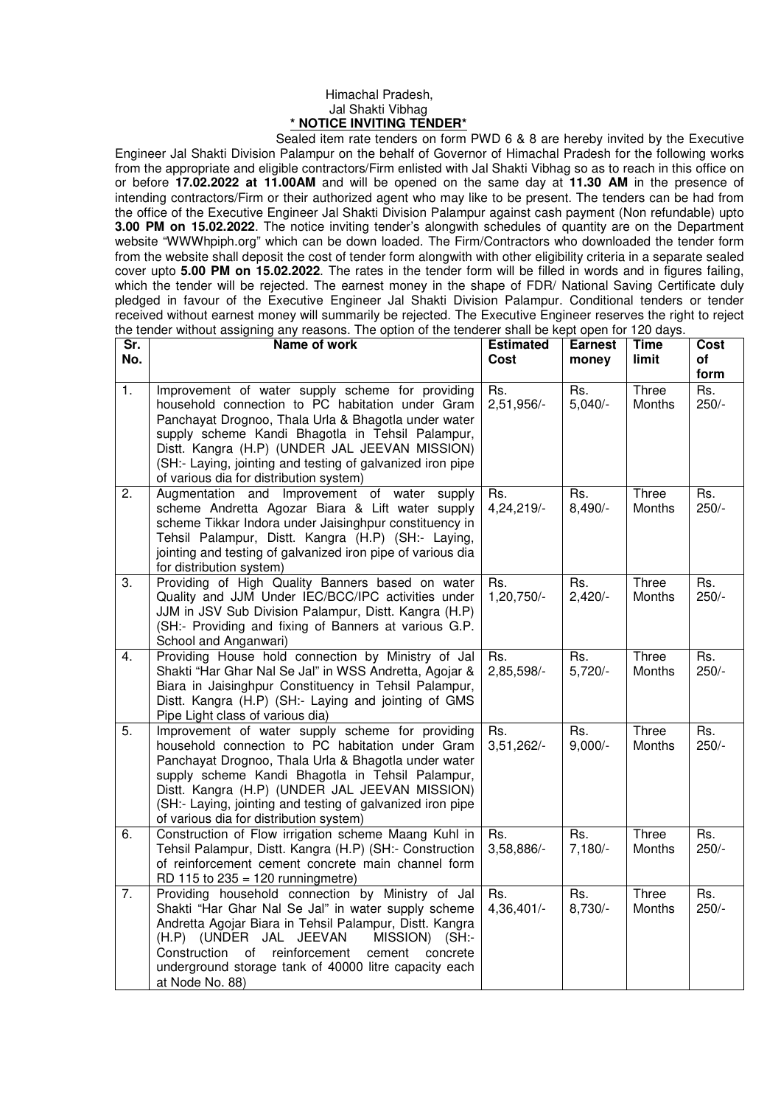## Himachal Pradesh, Jal Shakti Vibhag **\* NOTICE INVITING TENDER\***

 Sealed item rate tenders on form PWD 6 & 8 are hereby invited by the Executive Engineer Jal Shakti Division Palampur on the behalf of Governor of Himachal Pradesh for the following works from the appropriate and eligible contractors/Firm enlisted with Jal Shakti Vibhag so as to reach in this office on or before **17.02.2022 at 11.00AM** and will be opened on the same day at **11.30 AM** in the presence of intending contractors/Firm or their authorized agent who may like to be present. The tenders can be had from the office of the Executive Engineer Jal Shakti Division Palampur against cash payment (Non refundable) upto **3.00 PM on 15.02.2022**. The notice inviting tender's alongwith schedules of quantity are on the Department website "WWWhpiph.org" which can be down loaded. The Firm/Contractors who downloaded the tender form from the website shall deposit the cost of tender form alongwith with other eligibility criteria in a separate sealed cover upto **5.00 PM on 15.02.2022**. The rates in the tender form will be filled in words and in figures failing, which the tender will be rejected. The earnest money in the shape of FDR/ National Saving Certificate duly pledged in favour of the Executive Engineer Jal Shakti Division Palampur. Conditional tenders or tender received without earnest money will summarily be rejected. The Executive Engineer reserves the right to reject the tender without assigning any reasons. The option of the tenderer shall be kept open for 120 days.

| Sr.<br>No. | Name of work                                                                                                                                                                                                                                                                                                                                                                | <b>Estimated</b><br>Cost | <b>Earnest</b><br>money | <b>Time</b><br>limit | Cost<br>of<br>form |
|------------|-----------------------------------------------------------------------------------------------------------------------------------------------------------------------------------------------------------------------------------------------------------------------------------------------------------------------------------------------------------------------------|--------------------------|-------------------------|----------------------|--------------------|
| 1.         | Improvement of water supply scheme for providing<br>household connection to PC habitation under Gram<br>Panchayat Drognoo, Thala Urla & Bhagotla under water<br>supply scheme Kandi Bhagotla in Tehsil Palampur,<br>Distt. Kangra (H.P) (UNDER JAL JEEVAN MISSION)<br>(SH:- Laying, jointing and testing of galvanized iron pipe<br>of various dia for distribution system) | Rs.<br>2,51,956/-        | Rs.<br>$5,040/-$        | Three<br>Months      | Rs.<br>$250/-$     |
| 2.         | Augmentation and Improvement of water<br>supply<br>scheme Andretta Agozar Biara & Lift water supply<br>scheme Tikkar Indora under Jaisinghpur constituency in<br>Tehsil Palampur, Distt. Kangra (H.P) (SH:- Laying,<br>jointing and testing of galvanized iron pipe of various dia<br>for distribution system)                                                              | Rs.<br>4,24,219/-        | Rs.<br>$8,490/-$        | Three<br>Months      | Rs.<br>$250/-$     |
| 3.         | Providing of High Quality Banners based on water<br>Quality and JJM Under IEC/BCC/IPC activities under<br>JJM in JSV Sub Division Palampur, Distt. Kangra (H.P)<br>(SH:- Providing and fixing of Banners at various G.P.<br>School and Anganwari)                                                                                                                           | Rs.<br>1,20,750/-        | Rs.<br>$2,420/-$        | Three<br>Months      | Rs.<br>$250/-$     |
| 4.         | Providing House hold connection by Ministry of Jal<br>Shakti "Har Ghar Nal Se Jal" in WSS Andretta, Agojar &<br>Biara in Jaisinghpur Constituency in Tehsil Palampur,<br>Distt. Kangra (H.P) (SH:- Laying and jointing of GMS<br>Pipe Light class of various dia)                                                                                                           | Rs.<br>2,85,598/-        | Rs.<br>$5,720/-$        | Three<br>Months      | Rs.<br>$250/-$     |
| 5.         | Improvement of water supply scheme for providing<br>household connection to PC habitation under Gram<br>Panchayat Drognoo, Thala Urla & Bhagotla under water<br>supply scheme Kandi Bhagotla in Tehsil Palampur,<br>Distt. Kangra (H.P) (UNDER JAL JEEVAN MISSION)<br>(SH:- Laying, jointing and testing of galvanized iron pipe<br>of various dia for distribution system) | Rs.<br>$3,51,262/-$      | Rs.<br>$9,000/-$        | Three<br>Months      | Rs.<br>$250/-$     |
| 6.         | Construction of Flow irrigation scheme Maang Kuhl in<br>Tehsil Palampur, Distt. Kangra (H.P) (SH:- Construction<br>of reinforcement cement concrete main channel form<br>RD 115 to $235 = 120$ runningmetre)                                                                                                                                                                | Rs.<br>3,58,886/-        | Rs.<br>$7,180/-$        | Three<br>Months      | Rs.<br>$250/-$     |
| 7.         | Providing household connection by Ministry of Jal<br>Shakti "Har Ghar Nal Se Jal" in water supply scheme<br>Andretta Agojar Biara in Tehsil Palampur, Distt. Kangra<br>(H.P) (UNDER JAL JEEVAN<br>MISSION) (SH:-<br>Construction<br>reinforcement<br>cement<br>concrete<br>of<br>underground storage tank of 40000 litre capacity each<br>at Node No. 88)                   | Rs.<br>4,36,401/-        | Rs.<br>$8,730/-$        | Three<br>Months      | Rs.<br>$250/-$     |